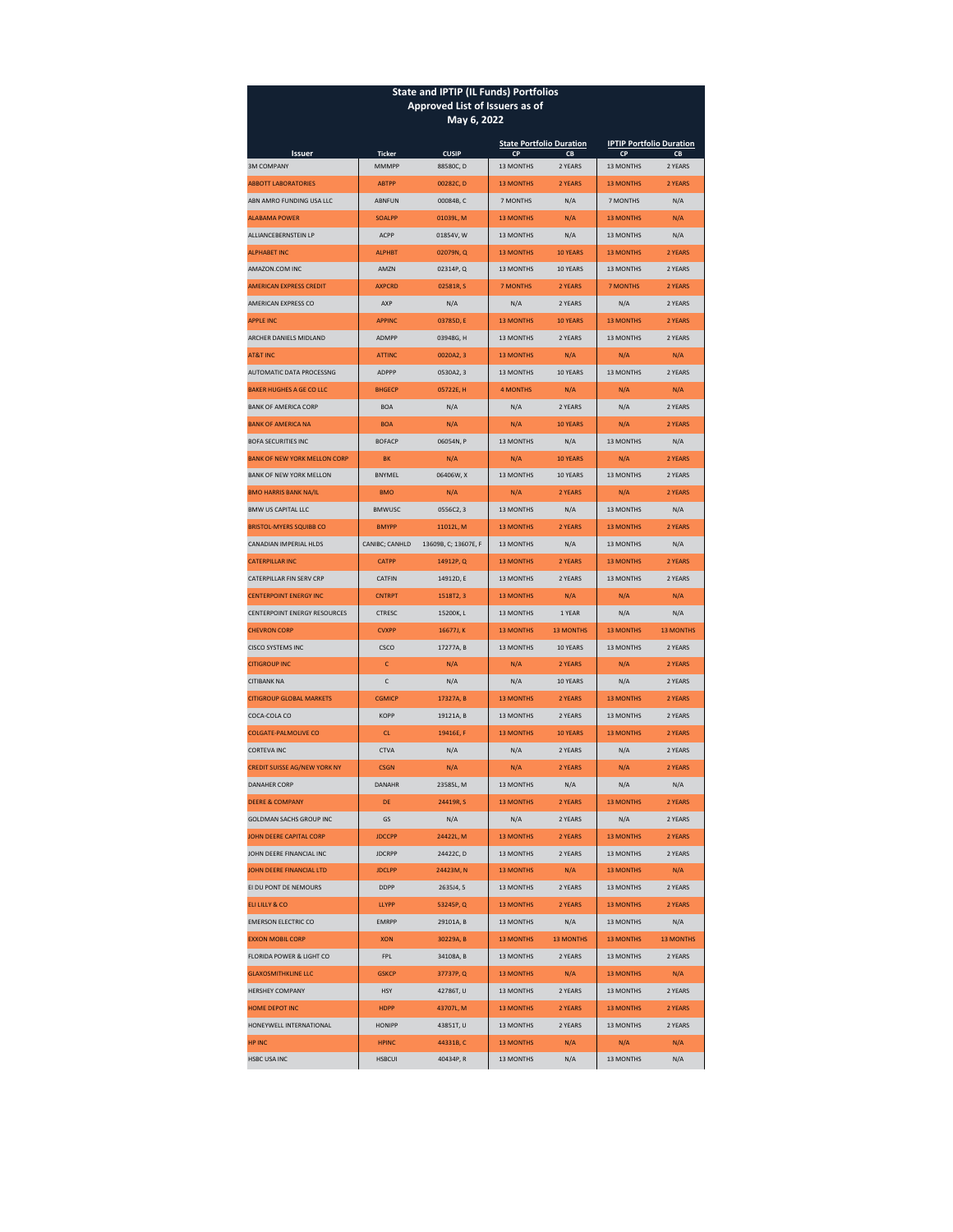| <b>State and IPTIP (IL Funds) Portfolios</b>      |                                 |                                  |                                          |                  |                                 |                    |  |  |  |
|---------------------------------------------------|---------------------------------|----------------------------------|------------------------------------------|------------------|---------------------------------|--------------------|--|--|--|
| Approved List of Issuers as of<br>May 6, 2022     |                                 |                                  |                                          |                  |                                 |                    |  |  |  |
|                                                   |                                 |                                  | <b>State Portfolio Duration</b>          |                  | <b>IPTIP Portfolio Duration</b> |                    |  |  |  |
| <b>Issuer</b><br><b>3M COMPANY</b>                | <b>Ticker</b><br>MMMPP          | <b>CUSIP</b><br>88580C, D        | CP<br>CB<br>13 MONTHS<br>2 YEARS         |                  | <b>CP</b><br><b>13 MONTHS</b>   | CB<br>2 YEARS      |  |  |  |
| <b>ABBOTT LABORATORIES</b>                        | <b>ABTPP</b>                    | 00282C, D                        | <b>13 MONTHS</b>                         | 2 YEARS          | <b>13 MONTHS</b>                | 2 YEARS            |  |  |  |
| ABN AMRO FUNDING USA LLC                          | <b>ABNFUN</b>                   | 00084B, C                        | 7 MONTHS                                 | N/A              |                                 | N/A                |  |  |  |
| <b>ALABAMA POWER</b>                              | <b>SOALPP</b>                   | 01039L, M                        | <b>13 MONTHS</b><br>N/A                  |                  | 7 MONTHS<br><b>13 MONTHS</b>    | N/A                |  |  |  |
| ALLIANCEBERNSTEIN LP                              | <b>ACPP</b>                     | 01854V.W                         | <b>13 MONTHS</b>                         | N/A              | 13 MONTHS                       | N/A                |  |  |  |
| <b>ALPHABET INC</b>                               | <b>ALPHBT</b>                   | 02079N, Q                        | <b>13 MONTHS</b>                         | 10 YEARS         | <b>13 MONTHS</b>                | 2 YEARS            |  |  |  |
| AMAZON.COM INC                                    | AMZN                            | 02314P, Q                        | 13 MONTHS<br>10 YEARS                    |                  | 13 MONTHS                       | 2 YEARS            |  |  |  |
| <b>AMERICAN EXPRESS CREDIT</b>                    | <b>AXPCRD</b>                   | 02581R.S                         | <b>7 MONTHS</b>                          | 2 YEARS          | <b>7 MONTHS</b>                 | 2 YEARS            |  |  |  |
| AMERICAN EXPRESS CO                               | AXP                             | N/A                              | N/A                                      | 2 YEARS          | N/A                             | 2 YEARS            |  |  |  |
| <b>APPLE INC</b>                                  | <b>APPINC</b>                   | 03785D, E                        | <b>13 MONTHS</b>                         | 10 YEARS         | <b>13 MONTHS</b>                | 2 YEARS            |  |  |  |
| ARCHER DANIELS MIDLAND                            | <b>ADMPP</b>                    | 03948G, H                        | <b>13 MONTHS</b><br>2 YEARS              |                  | 13 MONTHS                       | 2 YEARS            |  |  |  |
| <b>AT&amp;T INC</b>                               | <b>ATTINC</b>                   | 0020A2, 3                        | <b>13 MONTHS</b>                         | N/A              | N/A                             | N/A                |  |  |  |
| AUTOMATIC DATA PROCESSNG                          | ADPPP                           | 0530A2, 3                        | 13 MONTHS                                | 10 YEARS         | 13 MONTHS                       | 2 YEARS            |  |  |  |
| <b>BAKER HUGHES A GE CO LLC</b>                   | <b>BHGFCP</b>                   | 05722E.H                         | <b>4 MONTHS</b>                          | N/A              |                                 |                    |  |  |  |
| <b>BANK OF AMERICA CORP</b>                       | <b>BOA</b>                      | N/A                              | N/A                                      | 2 YEARS          | N/A<br>N/A<br>N/A<br>2 YEARS    |                    |  |  |  |
| <b>BANK OF AMERICA NA</b>                         | <b>BOA</b>                      | N/A                              | N/A                                      | 10 YEARS         | N/A                             | 2 YEARS            |  |  |  |
| <b>BOFA SECURITIES INC</b>                        | <b>BOFACP</b>                   | 06054N, P                        | <b>13 MONTHS</b>                         | N/A              | 13 MONTHS                       | N/A                |  |  |  |
| <b>BANK OF NEW YORK MELLON CORP</b>               | <b>BK</b>                       | N/A                              | N/A                                      | 10 YEARS         | N/A                             | 2 YEARS            |  |  |  |
| <b>BANK OF NEW YORK MELLON</b>                    | <b>BNYMEL</b>                   | 06406W, X                        | 13 MONTHS                                | 10 YEARS         | 13 MONTHS                       | 2 YEARS            |  |  |  |
| <b>BMO HARRIS BANK NA/IL</b>                      | <b>BMO</b>                      | N/A                              | N/A                                      | 2 YEARS          | N/A                             | 2 YEARS            |  |  |  |
| <b>BMW US CAPITAL LLC</b>                         |                                 | 0556C2, 3                        | 13 MONTHS                                | N/A              | 13 MONTHS                       | N/A                |  |  |  |
| <b>BRISTOL-MYERS SQUIBB CO</b>                    | <b>BMWUSC</b>                   |                                  | <b>13 MONTHS</b>                         | 2 YEARS          | <b>13 MONTHS</b>                | 2 YEARS            |  |  |  |
|                                                   | <b>BMYPP</b><br>11012L, M       |                                  | 13 MONTHS<br>N/A                         |                  |                                 |                    |  |  |  |
| CANADIAN IMPERIAL HLDS<br><b>CATERPILLAR INC</b>  | CANIBC; CANHLD<br><b>CATPP</b>  | 13609B, C; 13607E, F<br>14912P.Q | <b>13 MONTHS</b>                         | 2 YEARS          | 13 MONTHS<br><b>13 MONTHS</b>   | N/A<br>2 YEARS     |  |  |  |
| CATERPILLAR FIN SERV CRP                          | CATFIN                          |                                  | 13 MONTHS                                | 2 YEARS          | 13 MONTHS                       | 2 YEARS            |  |  |  |
| <b>CENTERPOINT ENERGY INC</b>                     |                                 | 14912D, E                        | <b>13 MONTHS</b>                         | N/A              | N/A                             | N/A                |  |  |  |
| <b>CENTERPOINT ENERGY RESOURCES</b>               | <b>CNTRPT</b><br>1518T2, 3      |                                  | 13 MONTHS<br>1 YEAR                      |                  | N/A                             | N/A                |  |  |  |
| <b>CHEVRON CORP</b>                               | 15200K, L<br><b>CTRESC</b>      |                                  | <b>13 MONTHS</b><br><b>13 MONTHS</b>     |                  | <b>13 MONTHS</b>                | <b>13 MONTHS</b>   |  |  |  |
|                                                   | <b>CVXPP</b><br>16677J, K       |                                  | 13 MONTHS<br>10 YEARS                    |                  |                                 |                    |  |  |  |
| <b>CISCO SYSTEMS INC</b><br><b>CITIGROUP INC</b>  | CSCO<br>c                       | 17277A, B<br>N/A                 | N/A<br>2 YEARS                           |                  | 13 MONTHS<br>N/A                | 2 YEARS<br>2 YEARS |  |  |  |
|                                                   |                                 |                                  |                                          |                  |                                 |                    |  |  |  |
| <b>CITIBANK NA</b>                                | с                               | N/A                              | N/A<br>10 YEARS<br>2 YEARS               |                  | N/A                             | 2 YEARS<br>2 YEARS |  |  |  |
| <b>CITIGROUP GLOBAL MARKETS</b>                   | <b>CGMICP</b><br><b>KOPP</b>    | 17327A, B                        | <b>13 MONTHS</b>                         |                  | <b>13 MONTHS</b>                |                    |  |  |  |
| COCA-COLA CO                                      |                                 | 19121A, B                        | 13 MONTHS                                | 2 YEARS          | 13 MONTHS                       | 2 YEARS            |  |  |  |
| <b>COLGATE-PALMOLIVE CO</b><br><b>CORTEVA INC</b> | CL                              | 19416E, F                        | <b>13 MONTHS</b>                         | 10 YEARS         | <b>13 MONTHS</b>                | 2 YEARS            |  |  |  |
|                                                   | <b>CTVA</b>                     | N/A                              | N/A                                      | 2 YEARS          | N/A                             | 2 YEARS<br>2 YEARS |  |  |  |
| <b>CREDIT SUISSE AG/NEW YORK NY</b>               | <b>CSGN</b>                     | N/A                              | N/A                                      | 2 YEARS          | N/A                             |                    |  |  |  |
| <b>DANAHER CORP</b>                               | DANAHR                          | 23585L, M                        | <b>13 MONTHS</b>                         | N/A              | N/A                             | N/A                |  |  |  |
| <b>DEERE &amp; COMPANY</b>                        | <b>DE</b>                       | 24419R, S                        | <b>13 MONTHS</b>                         | 2 YEARS          | <b>13 MONTHS</b>                | 2 YEARS            |  |  |  |
| <b>GOLDMAN SACHS GROUP INC</b>                    | GS                              | N/A                              | 2 YEARS<br>N/A<br>2 YEARS                |                  | N/A<br>2 YEARS<br>2 YEARS       |                    |  |  |  |
| JOHN DEERE CAPITAL CORP                           | <b>JDCCPP</b>                   | 24422L, M                        | <b>13 MONTHS</b><br>2 YEARS<br>13 MONTHS |                  | <b>13 MONTHS</b>                |                    |  |  |  |
| JOHN DEERE FINANCIAL INC                          | 24422C, D<br><b>JDCRPP</b>      |                                  |                                          |                  | 2 YEARS<br>13 MONTHS            |                    |  |  |  |
| JOHN DEERE FINANCIAL LTD                          | <b>JDCLPP</b><br>24423M, N      |                                  | <b>13 MONTHS</b><br>N/A                  |                  | <b>13 MONTHS</b>                | N/A                |  |  |  |
| EI DU PONT DE NEMOURS                             | DDPP<br>2635J4, 5               |                                  | 13 MONTHS<br>2 YEARS                     |                  | 13 MONTHS<br>2 YEARS            |                    |  |  |  |
| ELI LILLY & CO                                    | LLYPP<br>53245P, Q<br>29101A, B |                                  | <b>13 MONTHS</b><br>2 YEARS              |                  | 2 YEARS<br><b>13 MONTHS</b>     |                    |  |  |  |
| <b>EMERSON ELECTRIC CO</b>                        | <b>EMRPP</b><br>30229A, B       |                                  | 13 MONTHS<br>N/A                         |                  | 13 MONTHS                       | N/A                |  |  |  |
| <b>EXXON MOBIL CORP</b>                           | <b>XON</b>                      |                                  | <b>13 MONTHS</b>                         | <b>13 MONTHS</b> | <b>13 MONTHS</b>                | <b>13 MONTHS</b>   |  |  |  |
| FPL<br>FLORIDA POWER & LIGHT CO                   |                                 | 34108A, B                        | 13 MONTHS<br>2 YEARS                     |                  | 13 MONTHS<br>2 YEARS            |                    |  |  |  |
| <b>GLAXOSMITHKLINE LLC</b>                        | <b>GSKCP</b>                    | 37737P, Q                        | <b>13 MONTHS</b><br>N/A                  |                  | <b>13 MONTHS</b><br>N/A         |                    |  |  |  |
| <b>HERSHEY COMPANY</b>                            | <b>HSY</b>                      | 42786T, U                        | 13 MONTHS<br>2 YEARS                     |                  | 13 MONTHS<br>2 YEARS            |                    |  |  |  |
| <b>HOME DEPOT INC</b>                             | <b>HDPP</b>                     | 43707L, M<br>43851T, U           | <b>13 MONTHS</b><br>2 YEARS              |                  | <b>13 MONTHS</b><br>2 YEARS     |                    |  |  |  |
| HONEYWELL INTERNATIONAL                           | <b>HONIPP</b>                   |                                  | 13 MONTHS<br>2 YEARS                     |                  | 13 MONTHS<br>2 YEARS            |                    |  |  |  |
| <b>HP INC</b>                                     | <b>HPINC</b>                    | 44331B, C                        | <b>13 MONTHS</b>                         | N/A              | N/A<br>N/A                      |                    |  |  |  |
| HSBC USA INC                                      | <b>HSBCUI</b>                   | 40434P, R                        | 13 MONTHS                                | N/A              | 13 MONTHS                       | N/A                |  |  |  |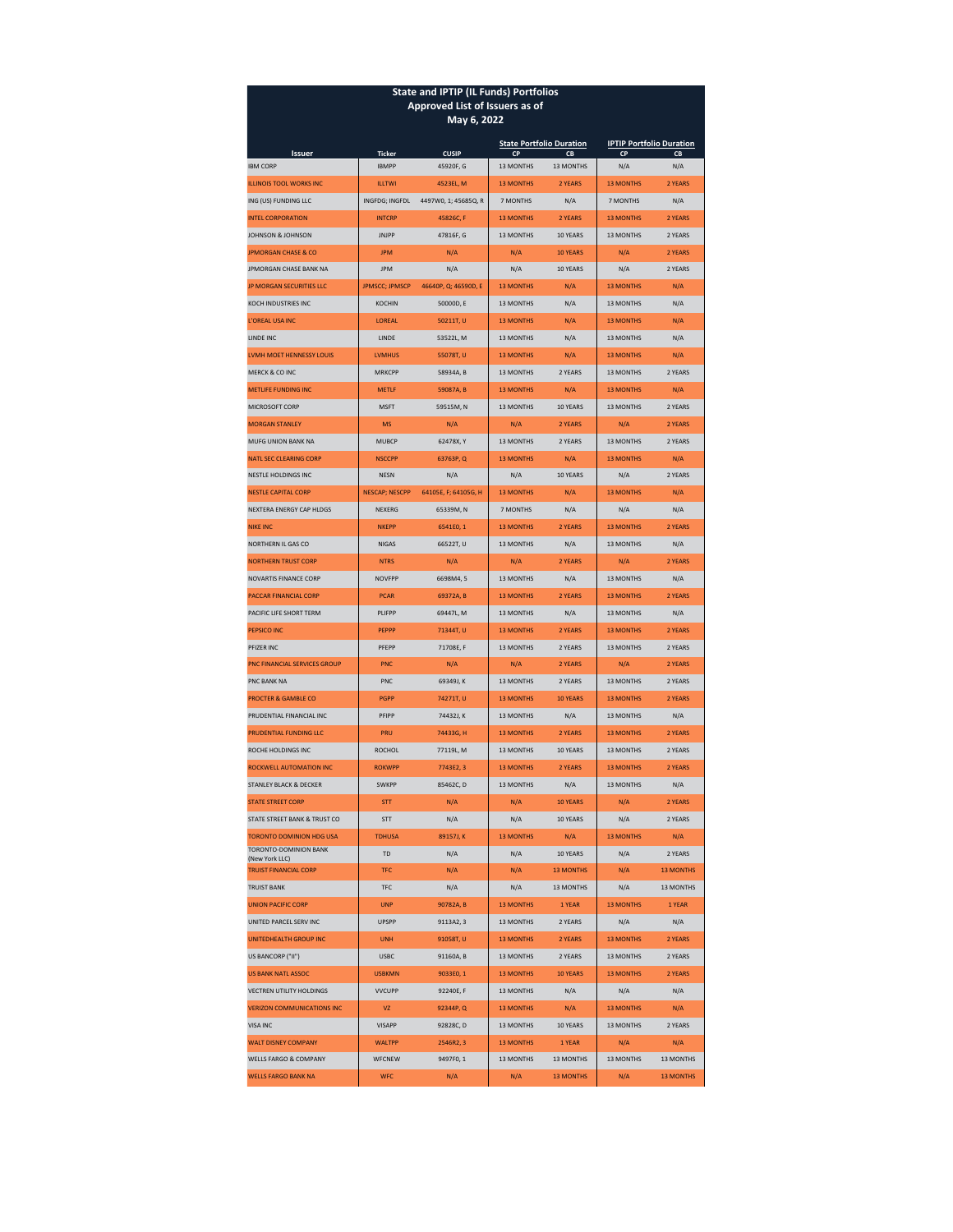| <b>State and IPTIP (IL Funds) Portfolios</b><br>Approved List of Issuers as of |                               |                      |                             |                                       |                                                    |                  |  |  |  |
|--------------------------------------------------------------------------------|-------------------------------|----------------------|-----------------------------|---------------------------------------|----------------------------------------------------|------------------|--|--|--|
| May 6, 2022                                                                    |                               |                      |                             |                                       |                                                    |                  |  |  |  |
| <b>Issuer</b>                                                                  | <b>CUSIP</b><br><b>Ticker</b> |                      | CP                          | <b>State Portfolio Duration</b><br>CB | <b>IPTIP Portfolio Duration</b><br><b>CP</b><br>CB |                  |  |  |  |
| <b>IBM CORP</b>                                                                | <b>IBMPP</b>                  | 45920F, G            | 13 MONTHS                   | 13 MONTHS                             | N/A                                                | N/A              |  |  |  |
| <b>ILLINOIS TOOL WORKS INC</b>                                                 | <b>ILLTWI</b>                 | 4523EL. M            | <b>13 MONTHS</b>            | 2 YEARS                               | <b>13 MONTHS</b>                                   | 2 YEARS          |  |  |  |
| ING (US) FUNDING LLC                                                           | INGFDG; INGFDL                | 4497W0, 1; 45685Q, R | 7 MONTHS                    | N/A                                   | 7 MONTHS                                           | N/A              |  |  |  |
| <b>INTEL CORPORATION</b>                                                       | <b>INTCRP</b>                 | 45826C, F            | <b>13 MONTHS</b>            | 2 YEARS                               | <b>13 MONTHS</b>                                   | 2 YEARS          |  |  |  |
| JOHNSON & JOHNSON                                                              | <b>JNJPP</b>                  | 47816F, G            | <b>13 MONTHS</b>            | 10 YEARS                              | 13 MONTHS                                          | 2 YEARS          |  |  |  |
| <b>JPMORGAN CHASE &amp; CO</b>                                                 | <b>JPM</b>                    | N/A                  | N/A                         | 10 YEARS                              | N/A                                                | 2 YEARS          |  |  |  |
| JPMORGAN CHASE BANK NA                                                         | <b>JPM</b>                    | N/A                  | N/A                         | 10 YEARS                              | N/A                                                | 2 YEARS          |  |  |  |
| <b>JP MORGAN SECURITIES LLC</b>                                                | <b>JPMSCC; JPMSCP</b>         | 46640P, Q; 46590D, E | <b>13 MONTHS</b>            | N/A                                   | <b>13 MONTHS</b>                                   | N/A              |  |  |  |
| KOCH INDUSTRIES INC                                                            | KOCHIN                        | 50000D, E            | 13 MONTHS                   | N/A                                   | 13 MONTHS                                          | N/A              |  |  |  |
| <b>L'OREAL USA INC</b>                                                         | LOREAL                        | 50211T, U            | <b>13 MONTHS</b>            | N/A                                   | <b>13 MONTHS</b>                                   | N/A              |  |  |  |
| <b>LINDE INC.</b>                                                              | LINDE                         | 53522L, M            | <b>13 MONTHS</b>            | N/A                                   | 13 MONTHS                                          | N/A              |  |  |  |
| LVMH MOET HENNESSY LOUIS                                                       | <b>LVMHUS</b>                 | 55078T, U            | <b>13 MONTHS</b>            | N/A                                   | <b>13 MONTHS</b>                                   | N/A              |  |  |  |
| <b>MERCK &amp; CO INC</b>                                                      | <b>MRKCPP</b>                 | 58934A, B            | 13 MONTHS                   | 2 YEARS                               | 13 MONTHS                                          | 2 YEARS          |  |  |  |
| METHEF FUNDING INC.                                                            | <b>METLF</b>                  | 59087A, B            | <b>13 MONTHS</b>            | N/A                                   | <b>13 MONTHS</b>                                   | N/A              |  |  |  |
| MICROSOFT CORP                                                                 | <b>MSFT</b>                   | 59515M, N            | 13 MONTHS                   | 10 YEARS                              | 13 MONTHS                                          | 2 YEARS          |  |  |  |
| <b>MORGAN STANLEY</b>                                                          | <b>MS</b>                     | N/A                  | N/A                         | 2 YEARS                               | N/A                                                | 2 YEARS          |  |  |  |
| <b>MUFG UNION BANK NA</b>                                                      | <b>MUBCP</b>                  | 62478X, Y            | <b>13 MONTHS</b>            | 2 YEARS                               | <b>13 MONTHS</b>                                   | 2 YEARS          |  |  |  |
| <b>NATL SEC CLEARING CORP</b>                                                  | <b>NSCCPP</b>                 | 63763P, Q            | <b>13 MONTHS</b>            | N/A                                   | <b>13 MONTHS</b>                                   | N/A              |  |  |  |
| <b>NESTLE HOLDINGS INC</b>                                                     | <b>NESN</b>                   | N/A                  | N/A                         | 10 YEARS                              | N/A                                                | 2 YEARS          |  |  |  |
| <b>NESTLE CAPITAL CORP</b>                                                     | <b>NESCAP; NESCPP</b>         | 64105E, F; 64105G, H | <b>13 MONTHS</b>            | N/A                                   | <b>13 MONTHS</b>                                   | N/A              |  |  |  |
| NEXTERA ENERGY CAP HLDGS                                                       | NEXERG                        | 65339M, N            | 7 MONTHS                    | N/A                                   | N/A                                                | N/A              |  |  |  |
| <b>NIKE INC</b>                                                                | <b>NKEPP</b>                  | 6541E0, 1            | <b>13 MONTHS</b>            | 2 YEARS                               | <b>13 MONTHS</b>                                   | 2 YEARS          |  |  |  |
| NORTHERN IL GAS CO                                                             | <b>NIGAS</b>                  | 66522T, U            | 13 MONTHS                   | N/A                                   | 13 MONTHS                                          | N/A              |  |  |  |
| <b>NORTHERN TRUST CORP</b>                                                     | <b>NTRS</b>                   | N/A                  | N/A                         | 2 YEARS                               | N/A                                                | 2 YEARS          |  |  |  |
| <b>NOVARTIS FINANCE CORP</b>                                                   | <b>NOVEPP</b>                 | 6698M4, 5            | 13 MONTHS                   | N/A                                   | <b>13 MONTHS</b>                                   | N/A              |  |  |  |
| PACCAR FINANCIAL CORP                                                          | <b>PCAR</b>                   | 69372A, B            | <b>13 MONTHS</b>            | 2 YEARS                               | <b>13 MONTHS</b>                                   | 2 YEARS          |  |  |  |
| PACIFIC LIFE SHORT TERM                                                        | PLIFPP                        | 69447L, M            | 13 MONTHS                   | N/A                                   | 13 MONTHS                                          | N/A              |  |  |  |
| <b>PEPSICO INC</b>                                                             | <b>PEPPP</b><br>71344T, U     |                      | <b>13 MONTHS</b>            | 2 YEARS                               | <b>13 MONTHS</b>                                   | 2 YEARS          |  |  |  |
| PFIZER INC                                                                     | PFEPP                         | 71708E, F            | 13 MONTHS                   | 2 YEARS                               | 13 MONTHS                                          | 2 YEARS          |  |  |  |
| <b>PNC FINANCIAL SERVICES GROUP</b>                                            | <b>PNC</b>                    | N/A                  | N/A                         | 2 YEARS                               | N/A                                                | 2 YEARS          |  |  |  |
| PNC BANK NA                                                                    | PNC                           | 69349J, K            | 13 MONTHS                   | 2 YEARS                               | 13 MONTHS                                          | 2 YEARS          |  |  |  |
| <b>PROCTER &amp; GAMBLE CO</b>                                                 | <b>PGPP</b>                   | 74271T, U            | <b>13 MONTHS</b>            | 10 YEARS                              | <b>13 MONTHS</b>                                   | 2 YEARS          |  |  |  |
| PRUDENTIAL FINANCIAL INC                                                       | PFIPP                         | 74432J, K            | <b>13 MONTHS</b>            | N/A                                   | 13 MONTHS                                          | N/A              |  |  |  |
| PRUDENTIAL FUNDING LLC                                                         | PRU                           | 74433G, H            | <b>13 MONTHS</b>            | 2 YEARS                               | <b>13 MONTHS</b>                                   | 2 YEARS          |  |  |  |
| ROCHE HOLDINGS INC                                                             | <b>ROCHOL</b>                 | 77119L, M            | 13 MONTHS                   | 10 YEARS                              | 13 MONTHS                                          | 2 YEARS          |  |  |  |
| ROCKWELL AUTOMATION INC                                                        | <b>ROKWPP</b>                 | 7743E2, 3            | <b>13 MONTHS</b>            | 2 YEARS                               | <b>13 MONTHS</b>                                   | 2 YEARS          |  |  |  |
| STANLEY BLACK & DECKER                                                         | <b>SWKPP</b>                  | 85462C, D            | 13 MONTHS                   | N/A                                   | 13 MONTHS                                          | N/A              |  |  |  |
| <b>STATE STREET CORP</b>                                                       | <b>STT</b>                    | N/A                  | N/A                         | 10 YEARS                              | N/A                                                | 2 YEARS          |  |  |  |
| STATE STREET BANK & TRUST CO                                                   | <b>STT</b>                    | N/A                  | N/A                         | 10 YEARS                              | N/A                                                | 2 YEARS          |  |  |  |
| <b>TORONTO DOMINION HDG USA</b>                                                | <b>TDHUSA</b>                 | 89157J, K            | <b>13 MONTHS</b>            | N/A                                   | <b>13 MONTHS</b>                                   | N/A              |  |  |  |
| TORONTO-DOMINION BANK<br>(New York LLC)                                        | <b>TD</b>                     | N/A                  | 10 YEARS<br>N/A             |                                       | N/A                                                | 2 YEARS          |  |  |  |
| <b>TRUIST FINANCIAL CORP</b>                                                   | <b>TFC</b>                    | N/A                  | N/A<br><b>13 MONTHS</b>     |                                       | N/A                                                | <b>13 MONTHS</b> |  |  |  |
| <b>TRUIST BANK</b>                                                             | <b>TFC</b>                    | N/A                  | N/A<br>13 MONTHS            |                                       | N/A                                                | 13 MONTHS        |  |  |  |
| <b>UNION PACIFIC CORP</b>                                                      | <b>UNP</b>                    | 90782A, B            | <b>13 MONTHS</b><br>1 YEAR  |                                       | <b>13 MONTHS</b>                                   | 1 YEAR           |  |  |  |
| UNITED PARCEL SERV INC                                                         | <b>UPSPP</b><br>9113A2, 3     |                      | 13 MONTHS<br>2 YEARS        |                                       | N/A                                                | N/A              |  |  |  |
| UNITEDHEALTH GROUP INC                                                         | <b>UNH</b><br>91058T, U       |                      | <b>13 MONTHS</b><br>2 YEARS |                                       | <b>13 MONTHS</b><br>2 YEARS                        |                  |  |  |  |
| US BANCORP ("II")                                                              | <b>USBC</b><br>91160A, B      |                      | 13 MONTHS<br>2 YEARS        |                                       | 2 YEARS<br><b>13 MONTHS</b>                        |                  |  |  |  |
| <b>US BANK NATL ASSOC</b>                                                      | <b>USBKMN</b>                 | 9033E0, 1            | <b>13 MONTHS</b>            | 10 YEARS                              | <b>13 MONTHS</b>                                   | 2 YEARS          |  |  |  |
| <b>VECTREN UTILITY HOLDINGS</b>                                                | <b>VVCUPP</b>                 | 92240E, F            | 13 MONTHS                   | N/A                                   | N/A                                                | N/A              |  |  |  |
| <b>VERIZON COMMUNICATIONS INC</b>                                              | <b>VZ</b>                     | 92344P, Q            | <b>13 MONTHS</b>            | N/A                                   | <b>13 MONTHS</b>                                   | N/A              |  |  |  |
| VISA INC                                                                       | <b>VISAPP</b>                 | 92828C, D            | 13 MONTHS                   | 10 YEARS                              | 13 MONTHS                                          | 2 YEARS          |  |  |  |
| <b>WALT DISNEY COMPANY</b>                                                     | <b>WALTPP</b>                 | 2546R2, 3            | <b>13 MONTHS</b>            | 1 YEAR                                | N/A                                                | N/A              |  |  |  |
| WELLS FARGO & COMPANY                                                          | <b>WFCNEW</b>                 | 9497F0, 1            | <b>13 MONTHS</b>            | 13 MONTHS                             | 13 MONTHS                                          | <b>13 MONTHS</b> |  |  |  |
| <b>WELLS FARGO BANK NA</b>                                                     | <b>WFC</b><br>N/A             |                      | N/A<br><b>13 MONTHS</b>     |                                       | N/A<br><b>13 MONTHS</b>                            |                  |  |  |  |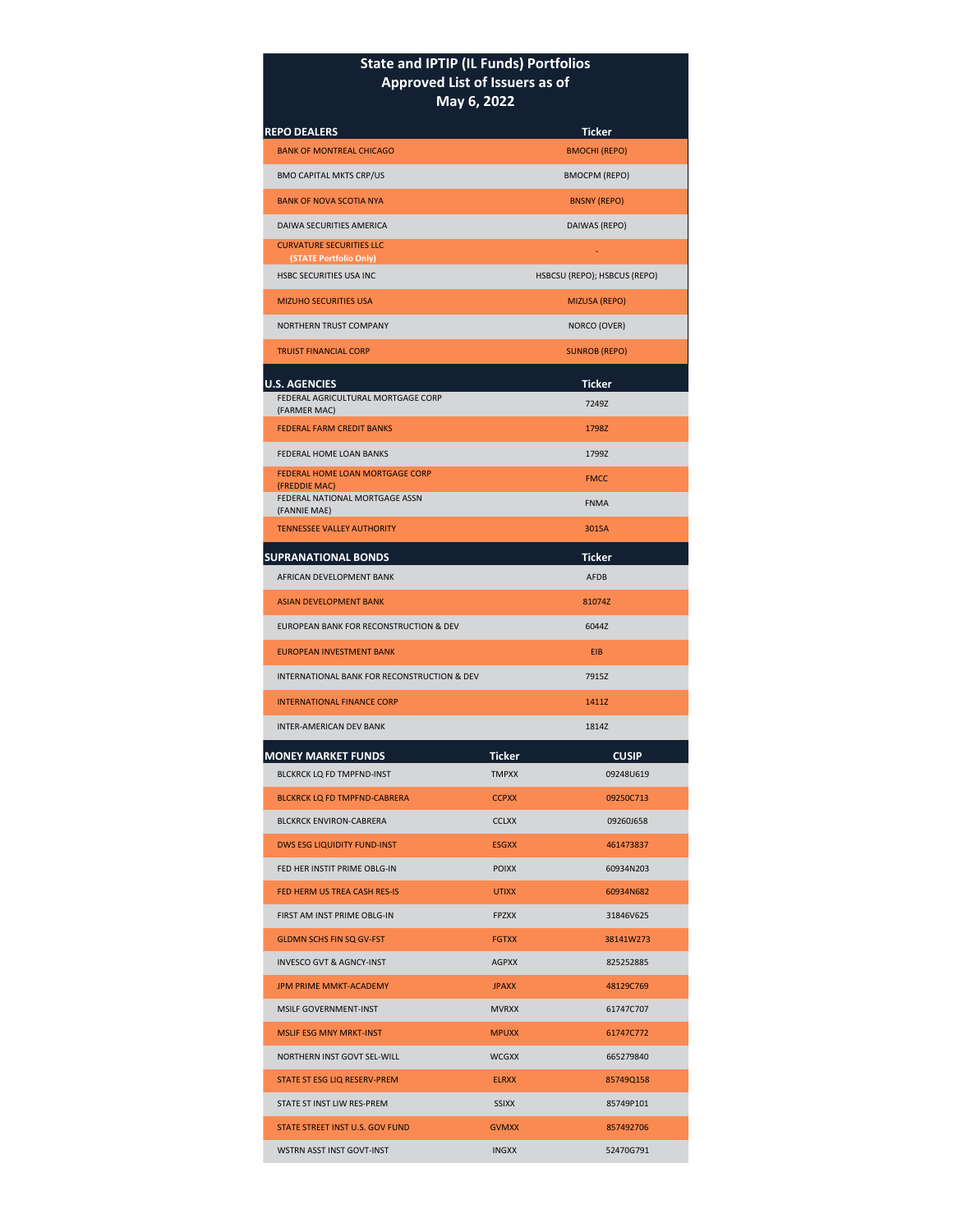## **State and IPTIP (IL Funds) Portfolios Approved List of Issuers as of May 6, 2022**

| <b>REPO DEALERS</b>                                      |              | <b>Ticker</b>                |  |  |  |  |
|----------------------------------------------------------|--------------|------------------------------|--|--|--|--|
| <b>BANK OF MONTREAL CHICAGO</b>                          |              | <b>BMOCHI (REPO)</b>         |  |  |  |  |
| <b>BMO CAPITAL MKTS CRP/US</b>                           |              | <b>BMOCPM (REPO)</b>         |  |  |  |  |
| <b>BANK OF NOVA SCOTIA NYA</b>                           |              | <b>BNSNY (REPO)</b>          |  |  |  |  |
| DAIWA SECURITIES AMERICA                                 |              | DAIWAS (REPO)                |  |  |  |  |
| <b>CURVATURE SECURITIES LLC</b>                          |              |                              |  |  |  |  |
| (STATE Portfolio Only)<br><b>HSBC SECURITIES USA INC</b> |              | HSBCSU (REPO); HSBCUS (REPO) |  |  |  |  |
| <b>MIZUHO SECURITIES USA</b>                             |              | <b>MIZUSA (REPO)</b>         |  |  |  |  |
| NORTHERN TRUST COMPANY                                   |              |                              |  |  |  |  |
|                                                          |              | NORCO (OVER)                 |  |  |  |  |
| <b>TRUIST FINANCIAL CORP</b>                             |              | <b>SUNROB (REPO)</b>         |  |  |  |  |
| <b>U.S. AGENCIES</b>                                     |              | <b>Ticker</b>                |  |  |  |  |
| FEDERAL AGRICULTURAL MORTGAGE CORP<br>(FARMER MAC)       |              | 7249Z                        |  |  |  |  |
| <b>FEDERAL FARM CREDIT BANKS</b>                         |              | 1798Z                        |  |  |  |  |
| <b>FEDERAL HOME LOAN BANKS</b>                           |              | 1799Z                        |  |  |  |  |
| FEDERAL HOME LOAN MORTGAGE CORP<br>(FREDDIE MAC)         |              | <b>FMCC</b>                  |  |  |  |  |
| FEDERAL NATIONAL MORTGAGE ASSN<br>(FANNIE MAE)           |              | <b>FNMA</b>                  |  |  |  |  |
| <b>TENNESSEE VALLEY AUTHORITY</b>                        |              | 3015A                        |  |  |  |  |
| <b>SUPRANATIONAL BONDS</b>                               |              | Ticker                       |  |  |  |  |
| AFRICAN DEVELOPMENT BANK                                 |              | AFDB                         |  |  |  |  |
| <b>ASIAN DEVELOPMENT BANK</b>                            |              | 81074Z                       |  |  |  |  |
| EUROPEAN BANK FOR RECONSTRUCTION & DEV                   |              | 6044Z                        |  |  |  |  |
| <b>EUROPEAN INVESTMENT BANK</b>                          |              | <b>EIB</b>                   |  |  |  |  |
| INTERNATIONAL BANK FOR RECONSTRUCTION & DEV              |              | 7915Z                        |  |  |  |  |
| <b>INTERNATIONAL FINANCE CORP</b>                        |              | 1411Z                        |  |  |  |  |
| <b>INTER-AMERICAN DEV BANK</b>                           |              | 1814Z                        |  |  |  |  |
| <b>MONEY MARKET FUNDS</b>                                | Ticker       | <b>CUSIP</b>                 |  |  |  |  |
| BLCKRCK LQ FD TMPFND-INST                                | <b>TMPXX</b> | 09248U619                    |  |  |  |  |
| <b>BLCKRCK LQ FD TMPFND-CABRERA</b>                      | <b>CCPXX</b> | 09250C713                    |  |  |  |  |
| <b>BLCKRCK ENVIRON-CABRERA</b>                           | <b>CCLXX</b> | 09260J658                    |  |  |  |  |
| <b>DWS ESG LIQUIDITY FUND-INST</b>                       | <b>ESGXX</b> | 461473837                    |  |  |  |  |
| FED HER INSTIT PRIME OBLG-IN                             | <b>POIXX</b> | 60934N203                    |  |  |  |  |
| FED HERM US TREA CASH RES-IS                             | <b>UTIXX</b> | 60934N682                    |  |  |  |  |
| FIRST AM INST PRIME OBLG-IN                              | <b>FPZXX</b> | 31846V625                    |  |  |  |  |
| <b>GLDMN SCHS FIN SQ GV-FST</b>                          | <b>FGTXX</b> | 38141W273                    |  |  |  |  |
| <b>INVESCO GVT &amp; AGNCY-INST</b>                      | <b>AGPXX</b> | 825252885                    |  |  |  |  |
| <b>JPM PRIME MMKT-ACADEMY</b>                            | <b>JPAXX</b> | 48129C769                    |  |  |  |  |
| MSILF GOVERNMENT-INST                                    | <b>MVRXX</b> | 61747C707                    |  |  |  |  |
| <b>MSLIF ESG MNY MRKT-INST</b>                           | <b>MPUXX</b> | 61747C772                    |  |  |  |  |
| NORTHERN INST GOVT SEL-WILL                              | <b>WCGXX</b> | 665279840                    |  |  |  |  |
| STATE ST ESG LIQ RESERV-PREM                             | <b>ELRXX</b> | 85749Q158                    |  |  |  |  |
| STATE ST INST LIW RES-PREM                               | <b>SSIXX</b> | 85749P101                    |  |  |  |  |
| STATE STREET INST U.S. GOV FUND                          | <b>GVMXX</b> | 857492706                    |  |  |  |  |
| WSTRN ASST INST GOVT-INST                                | <b>INGXX</b> | 52470G791                    |  |  |  |  |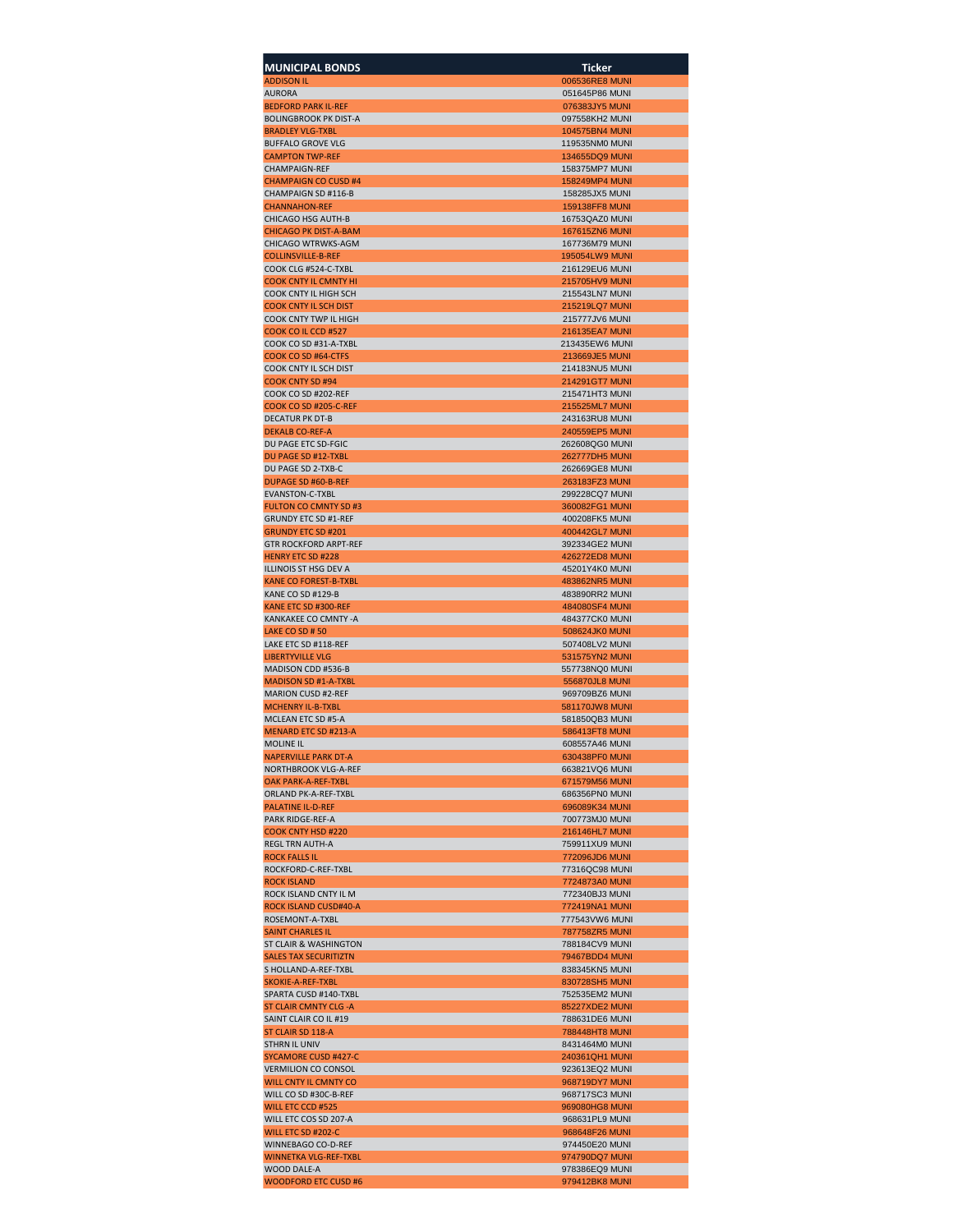| <b>MUNICIPAL BONDS</b>                                      | Ticker                                  |
|-------------------------------------------------------------|-----------------------------------------|
| <b>ADDISON IL</b><br><b>AURORA</b>                          | 006536RE8 MUNI<br>051645P86 MUNI        |
| <b>BEDFORD PARK IL-REF</b>                                  | 076383JY5 MUNI                          |
| <b>BOLINGBROOK PK DIST-A</b>                                | 097558KH2 MUNI                          |
| <b>BRADLEY VLG-TXBL</b><br><b>BUFFALO GROVE VLG</b>         | <b>104575BN4 MUNI</b><br>119535NM0 MUNI |
| <b>CAMPTON TWP-REF</b>                                      | 134655DQ9 MUNI                          |
| <b>CHAMPAIGN-REF</b><br><b>CHAMPAIGN CO CUSD #4</b>         | 158375MP7 MUNI<br>158249MP4 MUNI        |
| CHAMPAIGN SD #116-B                                         | 158285JX5 MUNI                          |
| <b>CHANNAHON-REF</b><br>CHICAGO HSG AUTH-B                  | <b>159138FF8 MUNI</b>                   |
| <b>CHICAGO PK DIST-A-BAM</b>                                | 16753QAZ0 MUNI<br><b>167615ZN6 MUNI</b> |
| CHICAGO WTRWKS-AGM                                          | 167736M79 MUNI                          |
| <b>COLLINSVILLE-B-REF</b><br>COOK CLG #524-C-TXBL           | 195054LW9 MUNI<br>216129EU6 MUNI        |
| <b>COOK CNTY IL CMNTY HI</b>                                | 215705HV9 MUNI                          |
| COOK CNTY IL HIGH SCH<br><b>COOK CNTY IL SCH DIST</b>       | 215543LN7 MUNI<br>215219LQ7 MUNI        |
| COOK CNTY TWP IL HIGH                                       | 215777JV6 MUNI                          |
| COOK CO IL CCD #527<br>COOK CO SD #31-A-TXBL                | 216135EA7 MUNI<br>213435EW6 MUNI        |
| COOK CO SD #64-CTFS                                         | 213669JE5 MUNI                          |
| <b>COOK CNTY IL SCH DIST</b>                                | 214183NU5 MUNI                          |
| <b>COOK CNTY SD #94</b><br>COOK CO SD #202-REF              | 214291GT7 MUNI<br>215471HT3 MUNI        |
| COOK CO SD #205-C-REF                                       | 215525ML7 MUNI                          |
| DECATUR PK DT-B<br><b>DEKALB CO-REF-A</b>                   | 243163RU8 MUNI<br>240559EP5 MUNI        |
| DU PAGE ETC SD-FGIC                                         | 262608QG0 MUNI                          |
| DU PAGE SD #12-TXBL                                         | <b>262777DH5 MUNI</b>                   |
| DU PAGE SD 2-TXB-C<br><b>DUPAGE SD #60-B-REF</b>            | 262669GE8 MUNI<br>263183FZ3 MUNI        |
| <b>EVANSTON-C-TXBL</b>                                      | 299228CQ7 MUNI                          |
| <b>FULTON CO CMNTY SD #3</b><br><b>GRUNDY ETC SD #1-REF</b> | 360082FG1 MUNI<br>400208FK5 MUNI        |
| <b>GRUNDY ETC SD #201</b>                                   | 400442GL7 MUNI                          |
| <b>GTR ROCKFORD ARPT-REF</b>                                | 392334GE2 MUNI<br>426272ED8 MUNI        |
| <b>HENRY ETC SD #228</b><br>ILLINOIS ST HSG DEV A           | 45201Y4K0 MUNI                          |
| KANE CO FOREST-B-TXBL                                       | 483862NR5 MUNI                          |
| KANE CO SD #129-B<br>KANE ETC SD #300-REF                   | 483890RR2 MUNI<br>484080SF4 MUNI        |
| KANKAKEE CO CMNTY - A                                       | 484377CK0 MUNI                          |
| LAKE CO SD # 50<br>LAKE ETC SD #118-REF                     | 508624JK0 MUNI<br>507408LV2 MUNI        |
| <b>LIBERTYVILLE VLG</b>                                     | 531575YN2 MUNI                          |
| <b>MADISON CDD #536-B</b>                                   | 557738NQ0 MUNI                          |
| <b>MADISON SD #1-A-TXBL</b><br><b>MARION CUSD #2-REF</b>    | 556870JL8 MUNI<br>969709BZ6 MUNI        |
| <b>MCHENRY IL-B-TXBL</b>                                    | 581170JW8 MUNI                          |
| MCLEAN ETC SD #5-A<br><b>MENARD ETC SD #213-A</b>           | 581850QB3 MUNI<br><b>586413FT8 MUNI</b> |
| <b>MOLINE IL</b>                                            | 608557A46 MUNI                          |
| <b>NAPERVILLE PARK DT-A</b><br>NORTHBROOK VLG-A-REF         | 630438PF0 MUNI<br>663821VQ6 MUNI        |
| OAK PARK-A-REF-TXBL                                         | 671579M56 MUNI                          |
| ORLAND PK-A-REF-TXBL                                        | 686356PN0 MUNI                          |
| <b>PALATINE IL-D-REF</b><br>PARK RIDGE-REF-A                | 696089K34 MUNI<br>700773MJ0 MUNI        |
| <b>COOK CNTY HSD #220</b>                                   | 216146HL7 MUNI                          |
| <b>REGL TRN AUTH-A</b><br><b>ROCK FALLS IL</b>              | 759911XU9 MUNI<br>772096JD6 MUNI        |
| ROCKFORD-C-REF-TXBL                                         | 77316QC98 MUNI                          |
| <b>ROCK ISLAND</b><br>ROCK ISLAND CNTY IL M                 | 7724873A0 MUNI<br>772340BJ3 MUNI        |
| ROCK ISLAND CUSD#40-A                                       | 772419NA1 MUNI                          |
| ROSEMONT-A-TXBL                                             | 777543VW6 MUNI                          |
| <b>SAINT CHARLES IL</b><br>ST CLAIR & WASHINGTON            | <b>787758ZR5 MUNI</b><br>788184CV9 MUNI |
| <b>SALES TAX SECURITIZTN</b>                                | 79467BDD4 MUNI                          |
| S HOLLAND-A-REF-TXBL<br>SKOKIE-A-REF-TXBL                   | 838345KN5 MUNI<br>830728SH5 MUNI        |
| SPARTA CUSD #140-TXBL                                       | 752535EM2 MUNI                          |
| <b>ST CLAIR CMNTY CLG - A</b>                               | 85227XDE2 MUNI                          |
| SAINT CLAIR CO IL #19<br>ST CLAIR SD 118-A                  | 788631DE6 MUNI<br><b>788448HT8 MUNI</b> |
| STHRN IL UNIV                                               | 8431464M0 MUNI                          |
| <b>SYCAMORE CUSD #427-C</b><br><b>VERMILION CO CONSOL</b>   | 240361QH1 MUNI<br>923613EQ2 MUNI        |
| WILL CNTY IL CMNTY CO                                       | 968719DY7 MUNI                          |
| WILL CO SD #30C-B-REF                                       | 968717SC3 MUNI                          |
| WILL ETC CCD #525<br>WILL ETC COS SD 207-A                  | 969080HG8 MUNI<br>968631PL9 MUNI        |
| WILL ETC SD #202-C                                          | 968648F26 MUNI                          |
| WINNEBAGO CO-D-REF<br><b>WINNETKA VLG-REF-TXBL</b>          | 974450E20 MUNI<br>974790DQ7 MUNI        |
| WOOD DALE-A                                                 | 978386EQ9 MUNI                          |
| <b>WOODFORD ETC CUSD #6</b>                                 | 979412BK8 MUNI                          |